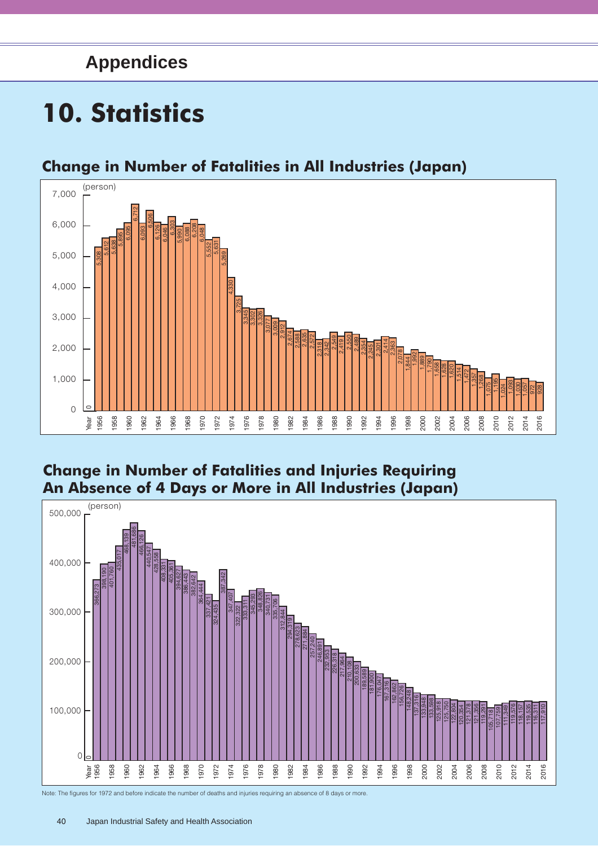# **Appendices**

# **10. Statistics**



## **Change in Number of Fatalities in All Industries (Japan)**

#### **Change in Number of Fatalities and Injuries Requiring An Absence of 4 Days or More in All Industries (Japan)**



Note: The figures for 1972 and before indicate the number of deaths and injuries requiring an absence of 8 days or more.